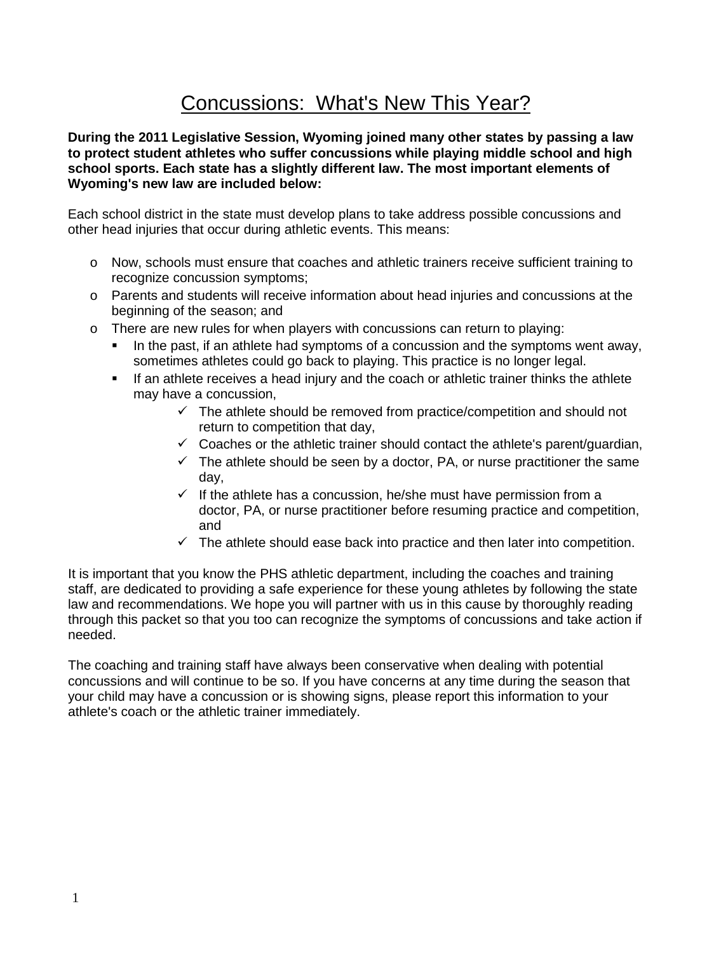# Concussions: What's New This Year?

**During the 2011 Legislative Session, Wyoming joined many other states by passing a law to protect student athletes who suffer concussions while playing middle school and high school sports. Each state has a slightly different law. The most important elements of Wyoming's new law are included below:**

Each school district in the state must develop plans to take address possible concussions and other head injuries that occur during athletic events. This means:

- o Now, schools must ensure that coaches and athletic trainers receive sufficient training to recognize concussion symptoms;
- o Parents and students will receive information about head injuries and concussions at the beginning of the season; and
- $\circ$  There are new rules for when players with concussions can return to playing:
	- In the past, if an athlete had symptoms of a concussion and the symptoms went away, sometimes athletes could go back to playing. This practice is no longer legal.
	- If an athlete receives a head injury and the coach or athletic trainer thinks the athlete may have a concussion,
		- $\checkmark$  The athlete should be removed from practice/competition and should not return to competition that day,
		- $\checkmark$  Coaches or the athletic trainer should contact the athlete's parent/guardian,
		- $\checkmark$  The athlete should be seen by a doctor, PA, or nurse practitioner the same day,
		- $\checkmark$  If the athlete has a concussion, he/she must have permission from a doctor, PA, or nurse practitioner before resuming practice and competition, and
		- $\checkmark$  The athlete should ease back into practice and then later into competition.

It is important that you know the PHS athletic department, including the coaches and training staff, are dedicated to providing a safe experience for these young athletes by following the state law and recommendations. We hope you will partner with us in this cause by thoroughly reading through this packet so that you too can recognize the symptoms of concussions and take action if needed.

The coaching and training staff have always been conservative when dealing with potential concussions and will continue to be so. If you have concerns at any time during the season that your child may have a concussion or is showing signs, please report this information to your athlete's coach or the athletic trainer immediately.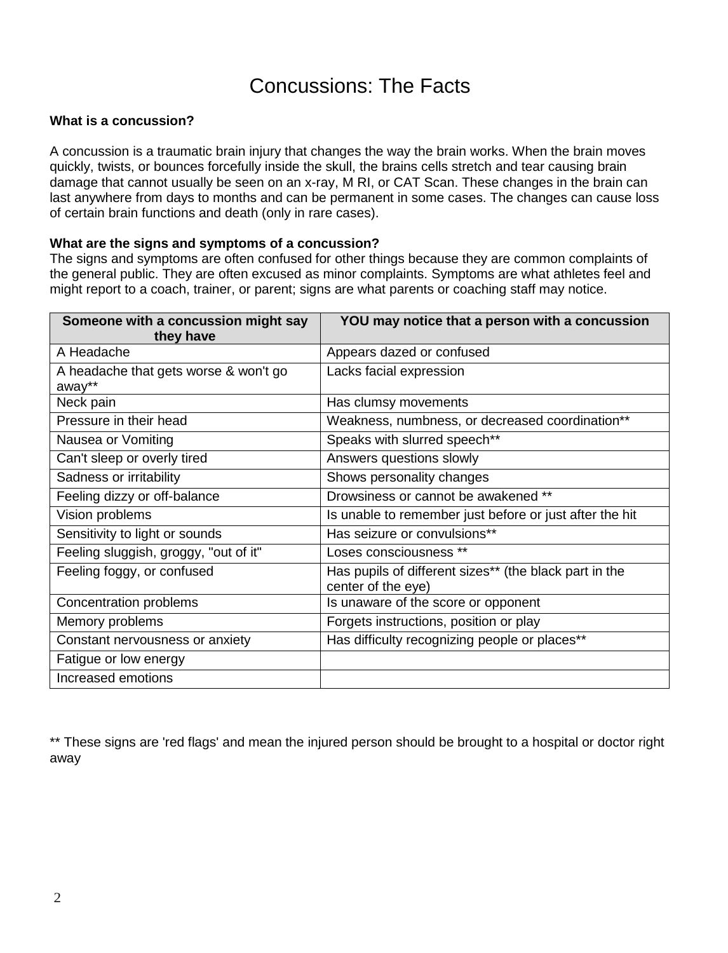## Concussions: The Facts

## **What is a concussion?**

A concussion is a traumatic brain injury that changes the way the brain works. When the brain moves quickly, twists, or bounces forcefully inside the skull, the brains cells stretch and tear causing brain damage that cannot usually be seen on an x-ray, M RI, or CAT Scan. These changes in the brain can last anywhere from days to months and can be permanent in some cases. The changes can cause loss of certain brain functions and death (only in rare cases).

#### **What are the signs and symptoms of a concussion?**

The signs and symptoms are often confused for other things because they are common complaints of the general public. They are often excused as minor complaints. Symptoms are what athletes feel and might report to a coach, trainer, or parent; signs are what parents or coaching staff may notice.

| Someone with a concussion might say<br>they have | YOU may notice that a person with a concussion                               |
|--------------------------------------------------|------------------------------------------------------------------------------|
| A Headache                                       | Appears dazed or confused                                                    |
| A headache that gets worse & won't go<br>away**  | Lacks facial expression                                                      |
| Neck pain                                        | Has clumsy movements                                                         |
| Pressure in their head                           | Weakness, numbness, or decreased coordination**                              |
| Nausea or Vomiting                               | Speaks with slurred speech**                                                 |
| Can't sleep or overly tired                      | Answers questions slowly                                                     |
| Sadness or irritability                          | Shows personality changes                                                    |
| Feeling dizzy or off-balance                     | Drowsiness or cannot be awakened **                                          |
| Vision problems                                  | Is unable to remember just before or just after the hit                      |
| Sensitivity to light or sounds                   | Has seizure or convulsions**                                                 |
| Feeling sluggish, groggy, "out of it"            | Loses consciousness **                                                       |
| Feeling foggy, or confused                       | Has pupils of different sizes** (the black part in the<br>center of the eye) |
| Concentration problems                           | Is unaware of the score or opponent                                          |
| Memory problems                                  | Forgets instructions, position or play                                       |
| Constant nervousness or anxiety                  | Has difficulty recognizing people or places**                                |
| Fatigue or low energy                            |                                                                              |
| Increased emotions                               |                                                                              |

\*\* These signs are 'red flags' and mean the injured person should be brought to a hospital or doctor right away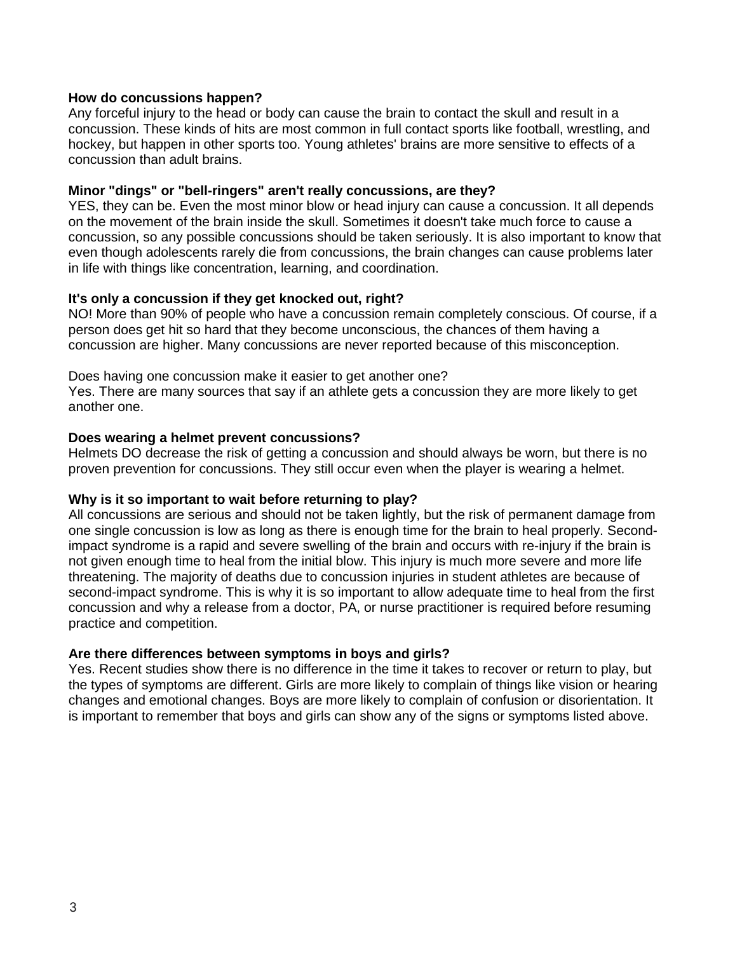## **How do concussions happen?**

Any forceful injury to the head or body can cause the brain to contact the skull and result in a concussion. These kinds of hits are most common in full contact sports like football, wrestling, and hockey, but happen in other sports too. Young athletes' brains are more sensitive to effects of a concussion than adult brains.

#### **Minor "dings" or "bell-ringers" aren't really concussions, are they?**

YES, they can be. Even the most minor blow or head injury can cause a concussion. It all depends on the movement of the brain inside the skull. Sometimes it doesn't take much force to cause a concussion, so any possible concussions should be taken seriously. It is also important to know that even though adolescents rarely die from concussions, the brain changes can cause problems later in life with things like concentration, learning, and coordination.

#### **It's only a concussion if they get knocked out, right?**

NO! More than 90% of people who have a concussion remain completely conscious. Of course, if a person does get hit so hard that they become unconscious, the chances of them having a concussion are higher. Many concussions are never reported because of this misconception.

Does having one concussion make it easier to get another one?

Yes. There are many sources that say if an athlete gets a concussion they are more likely to get another one.

#### **Does wearing a helmet prevent concussions?**

Helmets DO decrease the risk of getting a concussion and should always be worn, but there is no proven prevention for concussions. They still occur even when the player is wearing a helmet.

## **Why is it so important to wait before returning to play?**

All concussions are serious and should not be taken lightly, but the risk of permanent damage from one single concussion is low as long as there is enough time for the brain to heal properly. Secondimpact syndrome is a rapid and severe swelling of the brain and occurs with re-injury if the brain is not given enough time to heal from the initial blow. This injury is much more severe and more life threatening. The majority of deaths due to concussion injuries in student athletes are because of second-impact syndrome. This is why it is so important to allow adequate time to heal from the first concussion and why a release from a doctor, PA, or nurse practitioner is required before resuming practice and competition.

## **Are there differences between symptoms in boys and girls?**

Yes. Recent studies show there is no difference in the time it takes to recover or return to play, but the types of symptoms are different. Girls are more likely to complain of things like vision or hearing changes and emotional changes. Boys are more likely to complain of confusion or disorientation. It is important to remember that boys and girls can show any of the signs or symptoms listed above.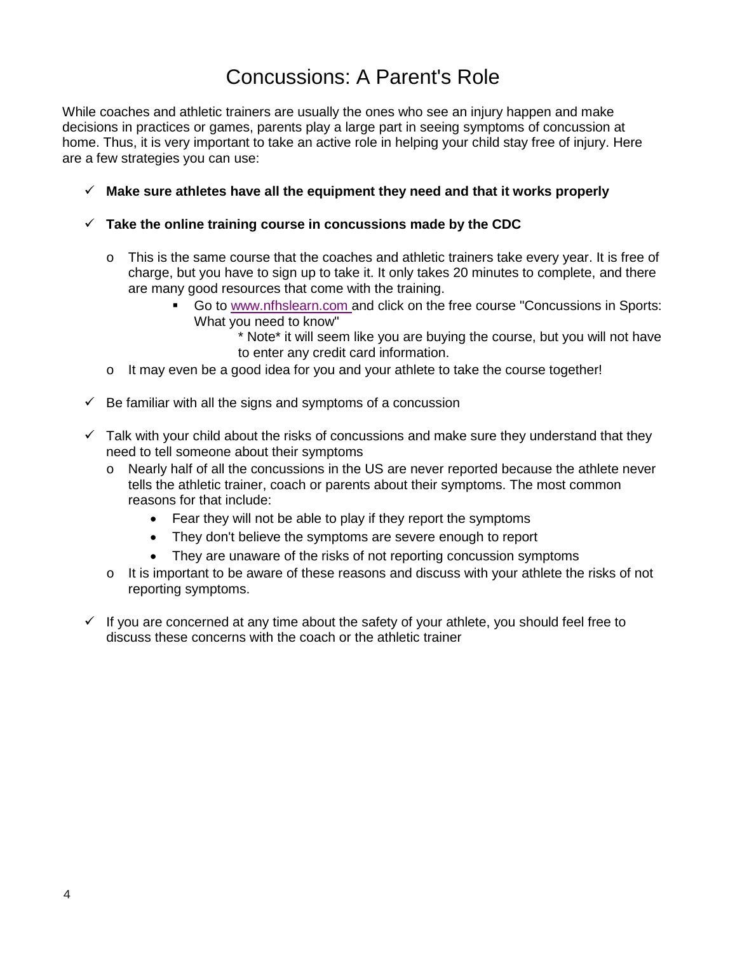# Concussions: A Parent's Role

While coaches and athletic trainers are usually the ones who see an injury happen and make decisions in practices or games, parents play a large part in seeing symptoms of concussion at home. Thus, it is very important to take an active role in helping your child stay free of injury. Here are a few strategies you can use:

- **Make sure athletes have all the equipment they need and that it works properly**
- **Take the online training course in concussions made by the CDC**
	- o This is the same course that the coaches and athletic trainers take every year. It is free of charge, but you have to sign up to take it. It only takes 20 minutes to complete, and there are many good resources that come with the training.
		- Go to [www.nfhslearn.com a](http://www.nfhslearn.com/)nd click on the free course "Concussions in Sports: What you need to know"

\* Note\* it will seem like you are buying the course, but you will not have to enter any credit card information.

- $\circ$  It may even be a good idea for you and your athlete to take the course together!
- $\checkmark$  Be familiar with all the signs and symptoms of a concussion
- $\checkmark$  Talk with your child about the risks of concussions and make sure they understand that they need to tell someone about their symptoms
	- o Nearly half of all the concussions in the US are never reported because the athlete never tells the athletic trainer, coach or parents about their symptoms. The most common reasons for that include:
		- Fear they will not be able to play if they report the symptoms
		- They don't believe the symptoms are severe enough to report
		- They are unaware of the risks of not reporting concussion symptoms
	- $\circ$  It is important to be aware of these reasons and discuss with your athlete the risks of not reporting symptoms.
- $\checkmark$  If you are concerned at any time about the safety of your athlete, you should feel free to discuss these concerns with the coach or the athletic trainer